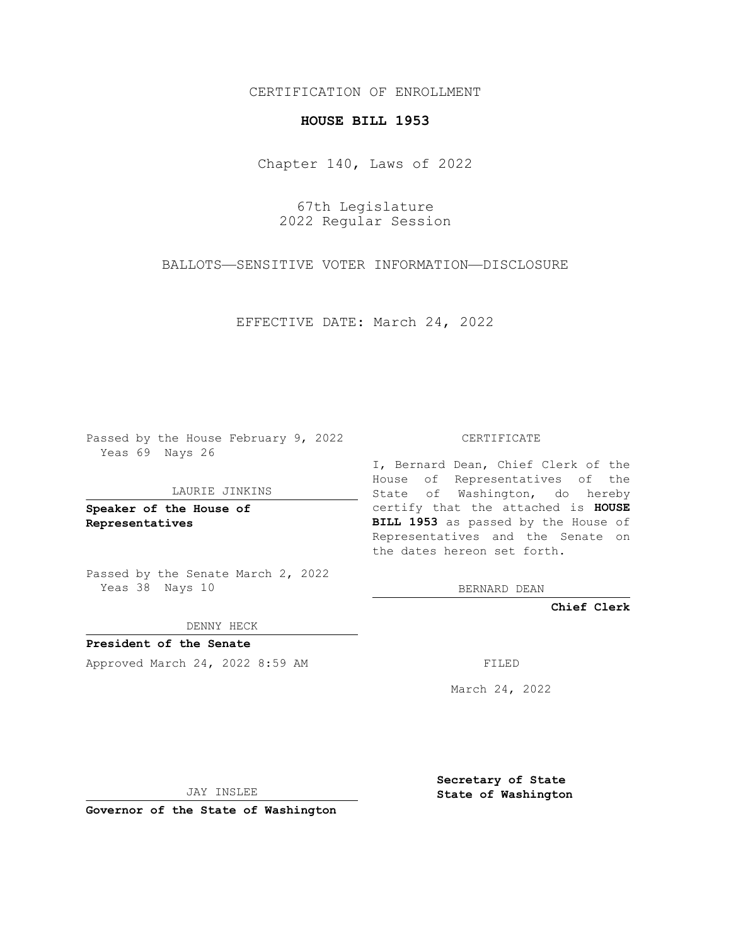## CERTIFICATION OF ENROLLMENT

## **HOUSE BILL 1953**

Chapter 140, Laws of 2022

67th Legislature 2022 Regular Session

BALLOTS—SENSITIVE VOTER INFORMATION—DISCLOSURE

EFFECTIVE DATE: March 24, 2022

Passed by the House February 9, 2022 Yeas 69 Nays 26

## LAURIE JINKINS

**Speaker of the House of Representatives**

Passed by the Senate March 2, 2022 Yeas 38 Nays 10

DENNY HECK

**President of the Senate** Approved March 24, 2022 8:59 AM FILED

CERTIFICATE

I, Bernard Dean, Chief Clerk of the House of Representatives of the State of Washington, do hereby certify that the attached is **HOUSE BILL 1953** as passed by the House of Representatives and the Senate on the dates hereon set forth.

BERNARD DEAN

**Chief Clerk**

March 24, 2022

JAY INSLEE

**Governor of the State of Washington**

**Secretary of State State of Washington**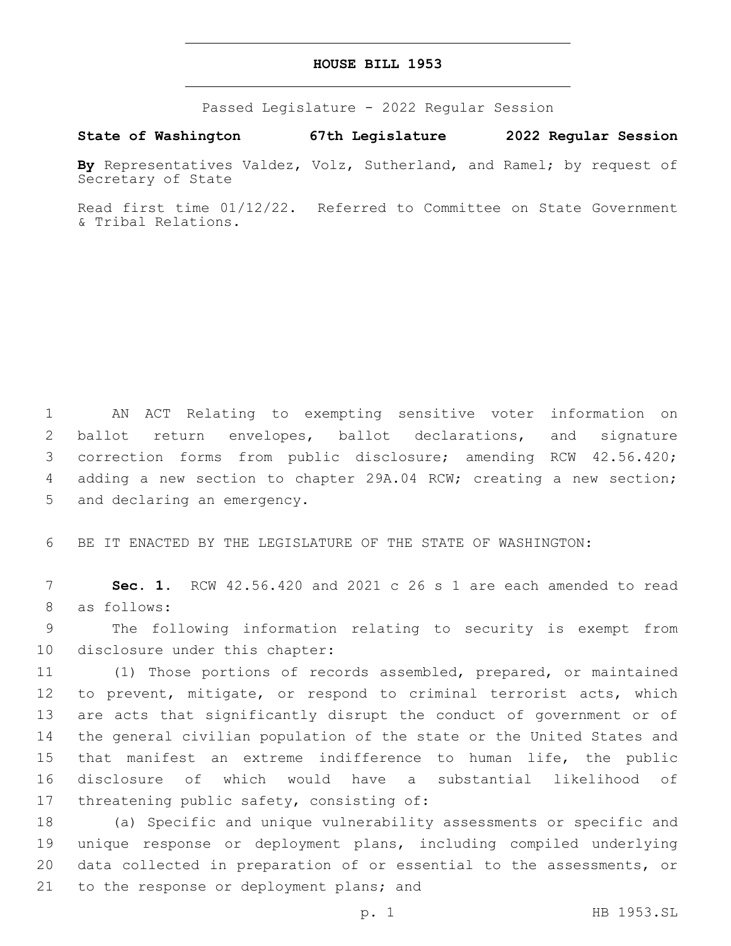## **HOUSE BILL 1953**

Passed Legislature - 2022 Regular Session

**State of Washington 67th Legislature 2022 Regular Session**

**By** Representatives Valdez, Volz, Sutherland, and Ramel; by request of Secretary of State

Read first time 01/12/22. Referred to Committee on State Government & Tribal Relations.

 AN ACT Relating to exempting sensitive voter information on ballot return envelopes, ballot declarations, and signature correction forms from public disclosure; amending RCW 42.56.420; adding a new section to chapter 29A.04 RCW; creating a new section; 5 and declaring an emergency.

6 BE IT ENACTED BY THE LEGISLATURE OF THE STATE OF WASHINGTON:

7 **Sec. 1.** RCW 42.56.420 and 2021 c 26 s 1 are each amended to read 8 as follows:

9 The following information relating to security is exempt from 10 disclosure under this chapter:

 (1) Those portions of records assembled, prepared, or maintained to prevent, mitigate, or respond to criminal terrorist acts, which are acts that significantly disrupt the conduct of government or of the general civilian population of the state or the United States and that manifest an extreme indifference to human life, the public disclosure of which would have a substantial likelihood of 17 threatening public safety, consisting of:

 (a) Specific and unique vulnerability assessments or specific and unique response or deployment plans, including compiled underlying data collected in preparation of or essential to the assessments, or 21 to the response or deployment plans; and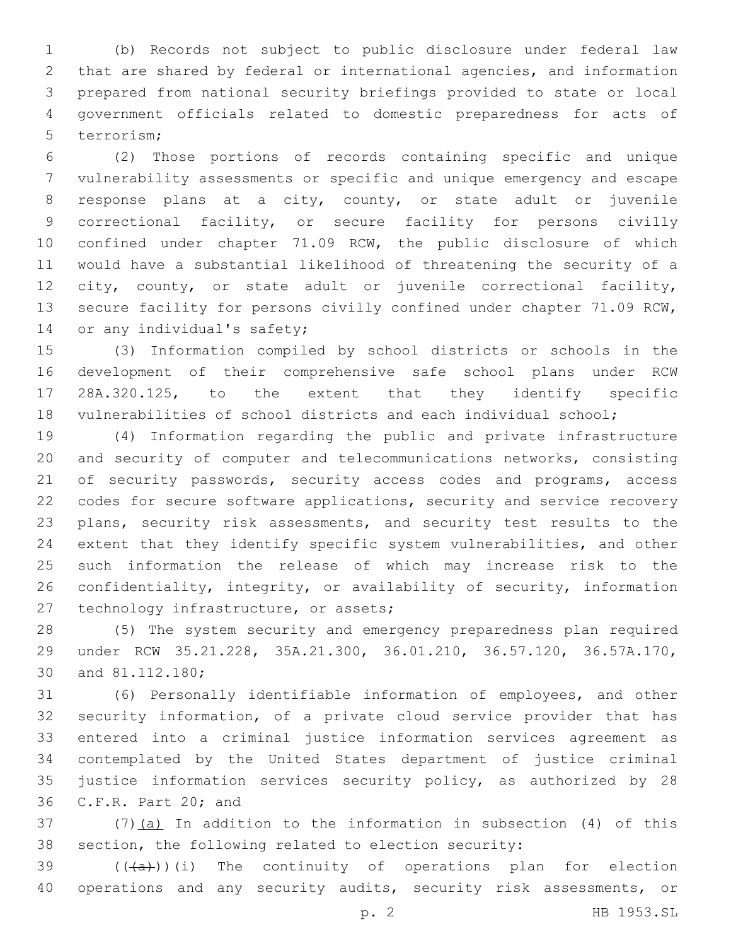(b) Records not subject to public disclosure under federal law that are shared by federal or international agencies, and information prepared from national security briefings provided to state or local government officials related to domestic preparedness for acts of 5 terrorism:

 (2) Those portions of records containing specific and unique vulnerability assessments or specific and unique emergency and escape response plans at a city, county, or state adult or juvenile correctional facility, or secure facility for persons civilly confined under chapter 71.09 RCW, the public disclosure of which would have a substantial likelihood of threatening the security of a city, county, or state adult or juvenile correctional facility, secure facility for persons civilly confined under chapter 71.09 RCW, 14 or any individual's safety;

 (3) Information compiled by school districts or schools in the development of their comprehensive safe school plans under RCW 28A.320.125, to the extent that they identify specific vulnerabilities of school districts and each individual school;

 (4) Information regarding the public and private infrastructure and security of computer and telecommunications networks, consisting 21 of security passwords, security access codes and programs, access codes for secure software applications, security and service recovery plans, security risk assessments, and security test results to the extent that they identify specific system vulnerabilities, and other such information the release of which may increase risk to the confidentiality, integrity, or availability of security, information 27 technology infrastructure, or assets;

 (5) The system security and emergency preparedness plan required under RCW 35.21.228, 35A.21.300, 36.01.210, 36.57.120, 36.57A.170, 30 and 81.112.180;

 (6) Personally identifiable information of employees, and other security information, of a private cloud service provider that has entered into a criminal justice information services agreement as contemplated by the United States department of justice criminal justice information services security policy, as authorized by 28 36 C.F.R. Part 20; and

 (7)(a) In addition to the information in subsection (4) of this section, the following related to election security:

39  $((+a))$ (i) The continuity of operations plan for election 40 operations and any security audits, security risk assessments, or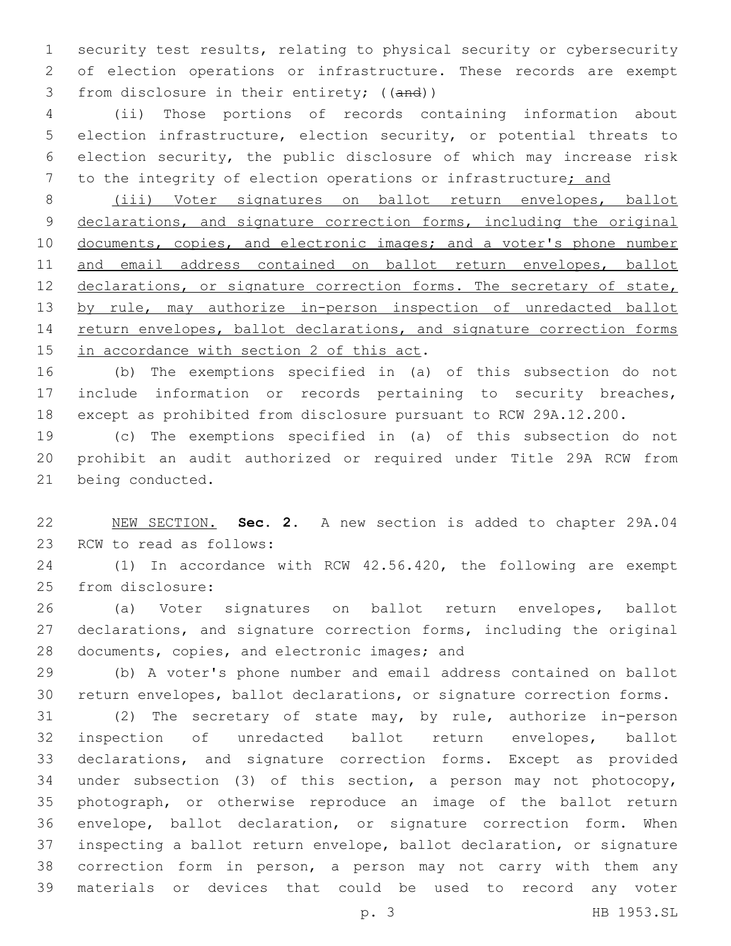security test results, relating to physical security or cybersecurity of election operations or infrastructure. These records are exempt 3 from disclosure in their entirety; ((and))

 (ii) Those portions of records containing information about election infrastructure, election security, or potential threats to election security, the public disclosure of which may increase risk 7 to the integrity of election operations or infrastructure; and

 (iii) Voter signatures on ballot return envelopes, ballot 9 declarations, and signature correction forms, including the original 10 documents, copies, and electronic images; and a voter's phone number and email address contained on ballot return envelopes, ballot 12 declarations, or signature correction forms. The secretary of state, 13 by rule, may authorize in-person inspection of unredacted ballot 14 return envelopes, ballot declarations, and signature correction forms 15 in accordance with section 2 of this act.

 (b) The exemptions specified in (a) of this subsection do not include information or records pertaining to security breaches, except as prohibited from disclosure pursuant to RCW 29A.12.200.

 (c) The exemptions specified in (a) of this subsection do not prohibit an audit authorized or required under Title 29A RCW from 21 being conducted.

 NEW SECTION. **Sec. 2.** A new section is added to chapter 29A.04 23 RCW to read as follows:

 (1) In accordance with RCW 42.56.420, the following are exempt 25 from disclosure:

 (a) Voter signatures on ballot return envelopes, ballot declarations, and signature correction forms, including the original 28 documents, copies, and electronic images; and

 (b) A voter's phone number and email address contained on ballot return envelopes, ballot declarations, or signature correction forms.

 (2) The secretary of state may, by rule, authorize in-person inspection of unredacted ballot return envelopes, ballot declarations, and signature correction forms. Except as provided under subsection (3) of this section, a person may not photocopy, photograph, or otherwise reproduce an image of the ballot return envelope, ballot declaration, or signature correction form. When inspecting a ballot return envelope, ballot declaration, or signature correction form in person, a person may not carry with them any materials or devices that could be used to record any voter